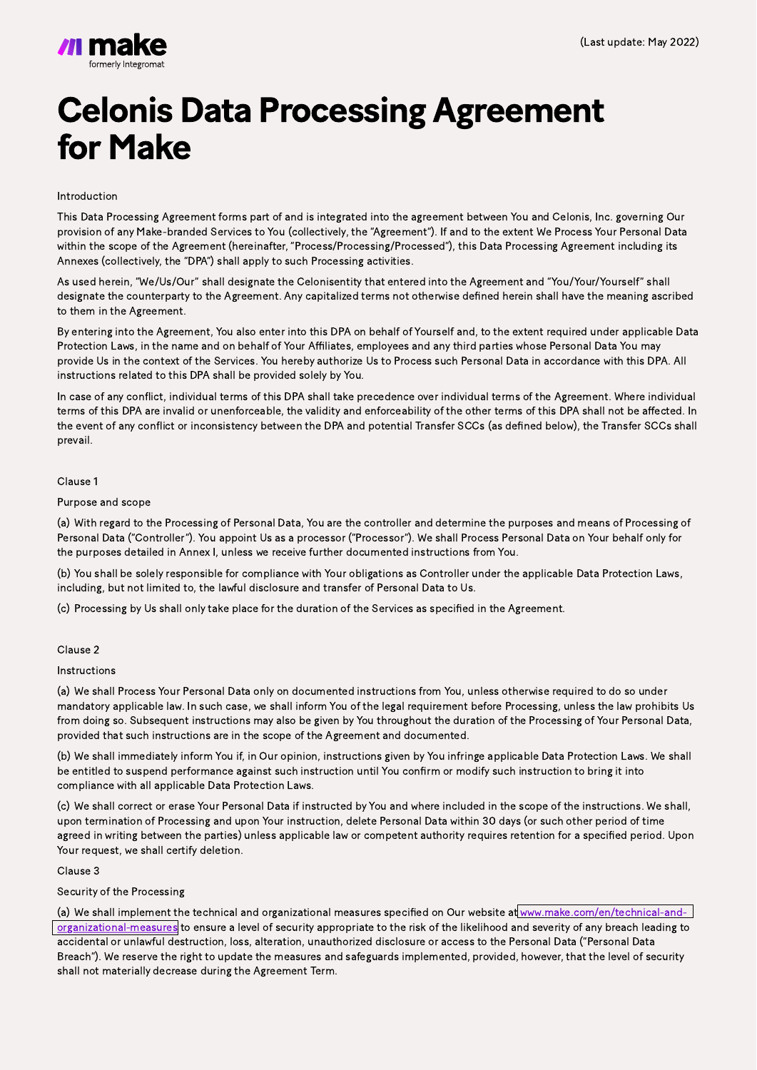# **Celonis Data Processing Agreement** for Make

#### Introduction

This Data Processing Agreement forms part of and is integrated into the agreement between You and Celonis, Inc. governing Our provision of any Make-branded Services to You (collectively, the "Agreement"). If and to the extent We Process Your Personal Data within the scope of the Agreement (hereinafter, "Process/Processing/Processed"), this Data Processing Agreement including its Annexes (collectively, the "DPA") shall apply to such Processing activities.

As used herein, "We/Us/Our" shall designate the Celonisentity that entered into the Agreement and "You/Your/Yourself" shall designate the counterparty to the Agreement. Any capitalized terms not otherwise defined herein shall have the meaning ascribed to them in the Agreement.

By entering into the Agreement, You also enter into this DPA on behalf of Yourself and, to the extent required under applicable Data Protection Laws, in the name and on behalf of Your Affiliates, employees and any third parties whose Personal Data You may provide Us in the context of the Services. You hereby authorize Us to Process such Personal Data in accordance with this DPA. All instructions related to this DPA shall be provided solely by You.

In case of any conflict, individual terms of this DPA shall take precedence over individual terms of the Agreement. Where individual terms of this DPA are invalid or unenforceable, the validity and enforceability of the other terms of this DPA shall not be affected. In the event of any conflict or inconsistency between the DPA and potential Transfer SCCs (as defined below), the Transfer SCCs shall prevail.

#### Clause 1

#### Purpose and scope

(a) With regard to the Processing of Personal Data, You are the controller and determine the purposes and means of Processing of Personal Data ("Controller"). You appoint Us as a processor ("Processor"). We shall Process Personal Data on Your behalf only for the purposes detailed in Annex I, unless we receive further documented instructions from You.

(a) We shall implement the technical and organizational measures specified on Our website at [www.make.com/en/technical-and](https://www.make.com/en/technical-and-organizational-measures.pdf)[organizational-measures](https://www.make.com/en/technical-and-organizational-measures.pdf) to ensure a level of security appropriate to the risk of the likelihood and severity of any breach leading to accidental or unlawful destruction, loss, alteration, unauthorized disclosure or access to the Personal Data ("Personal Data Breach"). We reserve the right to update the measures and safeguards implemented, provided, however, that the level of security shall not materially decrease during the Agreement Term.

(b) You shall be solely responsible for compliance with Your obligations as Controller under the applicable Data Protection Laws, including, but not limited to, the lawful disclosure and transfer of Personal Data to Us.

(c) Processing by Us shall only take place for the duration of the Services as specified in the Agreement.

#### Clause 2

Instructions

(a) We shall Process Your Personal Data only on documented instructions from You, unless otherwise required to do so under mandatory applicable law. In such case, we shall inform You of the legal requirement before Processing, unless the law prohibits Us from doing so. Subsequent instructions may also be given by You throughout the duration of the Processing of Your Personal Data, provided that such instructions are in the scope of the Agreement and documented.

(b) We shall immediately inform You if, in Our opinion, instructions given by You infringe applicable Data Protection Laws. We shall be entitled to suspend performance against such instruction until You confirm or modify such instruction to bring it into compliance with all applicable Data Protection Laws.

(c) We shall correct or erase Your Personal Data if instructed by You and where included in the scope of the instructions. We shall, upon termination of Processing and upon Your instruction, delete Personal Data within 30 days (or such other period of time agreed in writing between the parties) unless applicable law or competent authority requires retention for a specified period. Upon Your request, we shall certify deletion.

Clause 3

# Security of the Processing

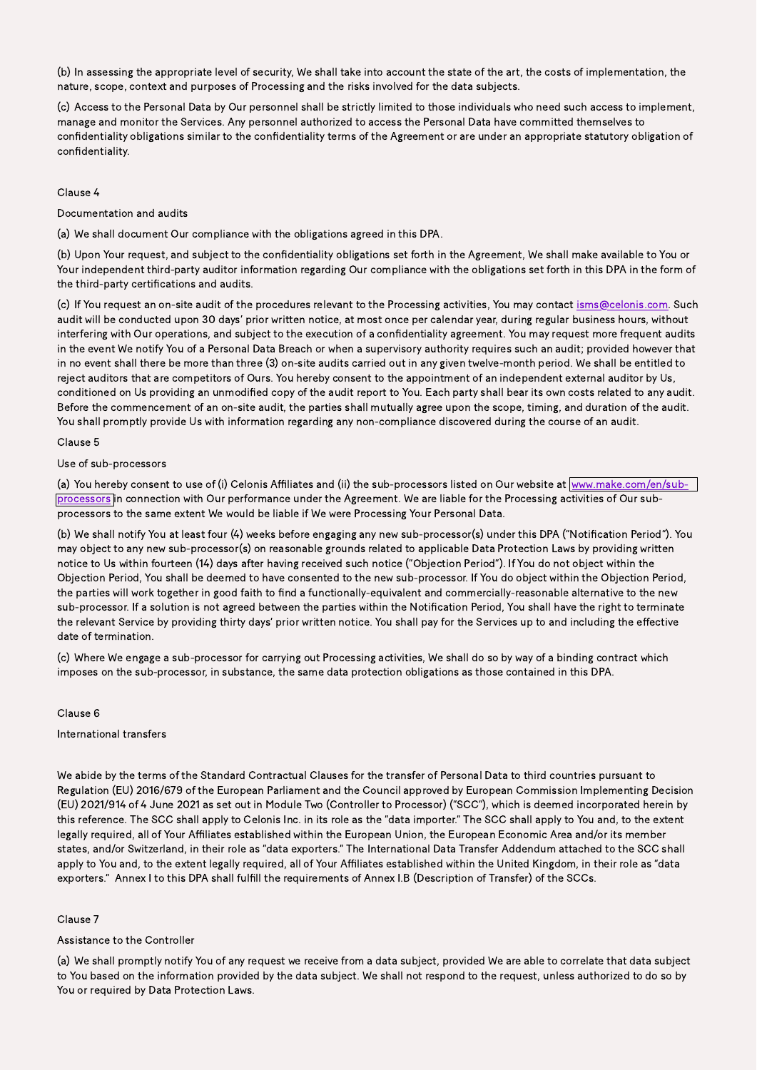(b) In assessing the appropriate level of security, We shall take into account the state of the art, the costs of implementation, the nature, scope, context and purposes of Processing and the risks involved for the data subjects.

(c) Access to the Personal Data by Our personnel shall be strictly limited to those individuals who need such access to implement, manage and monitor the Services. Any personnel authorized to access the Personal Data have committed themselves to confidentiality obligations similar to the confidentiality terms of the Agreement or are under an appropriate statutory obligation of confidentiality.

#### Clause 4

Documentation and audits

(a) We shall document Our compliance with the obligations agreed in this DPA.

(b) Upon Your request, and subject to the confidentiality obligations set forth in the Agreement, We shall make available to You or Your independent third-party auditor information regarding Our compliance with the obligations set forth in this DPA in the form of the third-party certifications and audits.

(c) If You request an on-site audit of the procedures relevant to the Processing activities, You may contact isms@celonis.com. Such audit will be conducted upon 30 days' prior written notice, at most once per calendar year, during regular business hours, without interfering with Our operations, and subject to the execution of a confidentiality agreement. You may request more frequent audits in the event We notify You of a Personal Data Breach or when a supervisory authority requires such an audit; provided however that in no event shall there be more than three (3) on-site audits carried out in any given twelve-month period. We shall be entitled to reject auditors that are competitors of Ours. You hereby consent to the appointment of an independent external auditor by Us, conditioned on Us providing an unmodified copy of the audit report to You. Each party shall bear its own costs related to any audit. Before the commencement of an on-site audit, the parties shall mutually agree upon the scope, timing, and duration of the audit. You shall promptly provide Us with information regarding any non-compliance discovered during the course of an audit.

(a) You hereby consent to use of (i) Celonis Affiliates and (ii) the sub-processors listed on Our website at [www.make.com/en/sub](https://www.make.com/en/sub-processors.pdf)[processors i](https://www.make.com/en/sub-processors.pdf)n connection with Our performance under the Agreement. We are liable for the Processing activities of Our subprocessors to the same extent We would be liable if We were Processing Your Personal Data.

### Clause 5

#### Use of sub-processors

(b) We shall notify You at least four (4) weeks before engaging any new sub-processor(s) under this DPA ("Notification Period"). You may object to any new sub-processor(s) on reasonable grounds related to applicable Data Protection Laws by providing written notice to Us within fourteen (14) days after having received such notice ("Objection Period"). If You do not object within the Objection Period, You shall be deemed to have consented to the new sub-processor. If You do object within the Objection Period, the parties will work together in good faith to find a functionally-equivalent and commercially-reasonable alternative to the new sub-processor. If a solution is not agreed between the parties within the Notification Period, You shall have the right to terminate the relevant Service by providing thirty days' prior written notice. You shall pay for the Services up to and including the effective date of termination.

(c) Where We engage a sub-processor for carrying out Processing activities, We shall do so by way of a binding contract which imposes on the sub-processor, in substance, the same data protection obligations as those contained in this DPA.

#### Clause 6

International transfers

We abide by the terms of the Standard Contractual Clauses for the transfer of Personal Data to third countries pursuant to Regulation (EU) 2016/679 of the European Parliament and the Council approved by European Commission Implementing Decision (EU) 2021/914 of 4 June 2021 as set out in Module Two (Controller to Processor) ("SCC"), which is deemed incorporated herein by this reference. The SCC shall apply to Celonis Inc. in its role as the "data importer." The SCC shall apply to You and, to the extent legally required, all of Your Affiliates established within the European Union, the European Economic Area and/or its member states, and/or Switzerland, in their role as "data exporters." The International Data Transfer Addendum attached to the SCC shall apply to You and, to the extent legally required, all of Your Affiliates established within the United Kingdom, in their role as "data exporters." Annex I to this DPA shall fulfill the requirements of Annex I.B (Description of Transfer) of the SCCs.

Clause 7

## Assistance to the Controller

(a) We shall promptly notify You of any request we receive from a data subject, provided We are able to correlate that data subject to You based on the information provided by the data subject. We shall not respond to the request, unless authorized to do so by You or required by Data Protection Laws.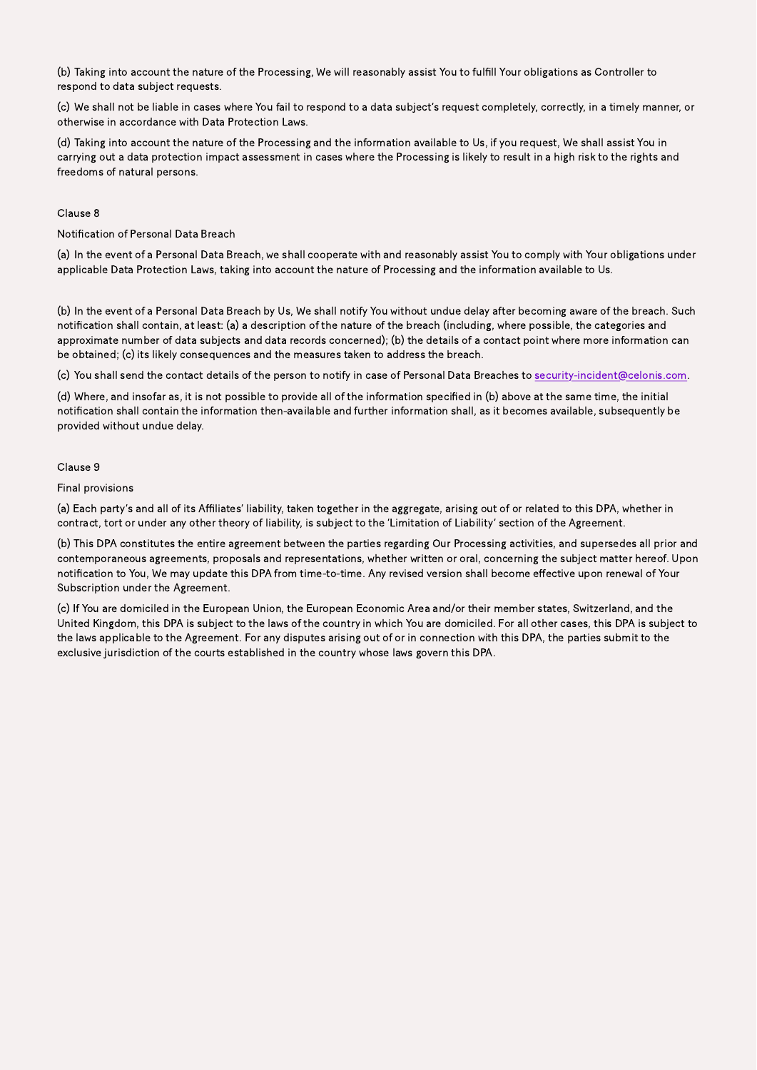(b) Taking into account the nature of the Processing, We will reasonably assist You to fulfill Your obligations as Controller to respond to data subject requests.

(c) We shall not be liable in cases where You fail to respond to a data subject's request completely, correctly, in a timely manner, or otherwise in accordance with Data Protection Laws.

(d) Taking into account the nature of the Processing and the information available to Us, if you request, We shall assist You in carrying out a data protection impact assessment in cases where the Processing is likely to result in a high risk to the rights and freedoms of natural persons.

#### Clause 8

#### Notification of Personal Data Breach

(a) In the event of a Personal Data Breach, we shall cooperate with and reasonably assist You to comply with Your obligations under applicable Data Protection Laws, taking into account the nature of Processing and the information available to Us.

(b) In the event of a Personal Data Breach by Us, We shall notify You without undue delay after becoming aware of the breach. Such notification shall contain, at least: (a) a description of the nature of the breach (including, where possible, the categories and approximate number of data subjects and data records concerned); (b) the details of a contact point where more information can be obtained; (c) its likely consequences and the measures taken to address the breach.

(c) You shall send the contact details of the person to notify in case of Personal Data Breaches to security-incident@celonis.com.

(d) Where, and insofar as, it is not possible to provide all of the information specified in (b) above at the same time, the initial notification shall contain the information then-available and further information shall, as it becomes available, subsequently be provided without undue delay.

#### Clause 9

#### Final provisions

(a) Each party's and all of its Affiliates' liability, taken together in the aggregate, arising out of or related to this DPA, whether in contract, tort or under any other theory of liability, is subject to the 'Limitation of Liability' section of the Agreement.

(b) This DPA constitutes the entire agreement between the parties regarding Our Processing activities, and supersedes all prior and contemporaneous agreements, proposals and representations, whether written or oral, concerning the subject matter hereof. Upon notification to You, We may update this DPA from time-to-time. Any revised version shall become effective upon renewal of Your Subscription under the Agreement.

(c) If You are domiciled in the European Union, the European Economic Area and/or their member states, Switzerland, and the United Kingdom, this DPA is subject to the laws of the country in which You are domiciled. For all other cases, this DPA is subject to the laws applicable to the Agreement. For any disputes arising out of or in connection with this DPA, the parties submit to the exclusive jurisdiction of the courts established in the country whose laws govern this DPA.